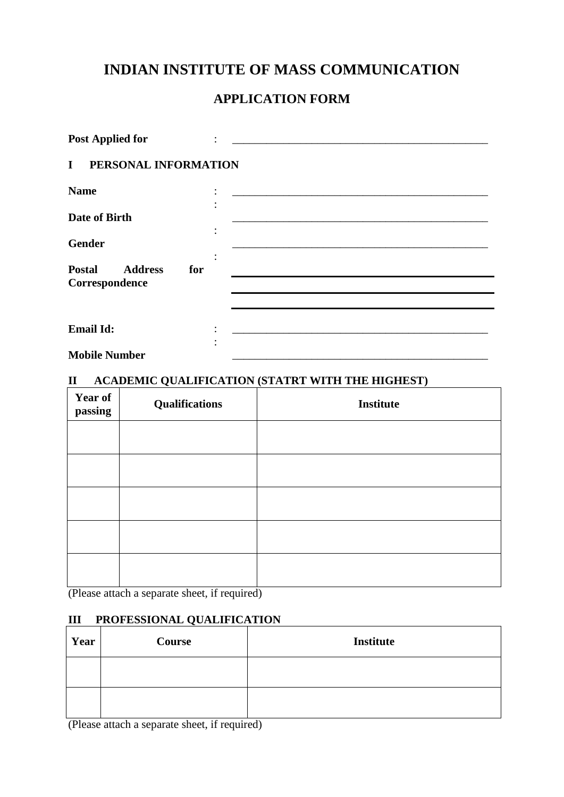# **INDIAN INSTITUTE OF MASS COMMUNICATION**

# **APPLICATION FORM**

| <b>Post Applied for</b>                                  |  |
|----------------------------------------------------------|--|
| PERSONAL INFORMATION<br>$\bf{I}$                         |  |
| <b>Name</b>                                              |  |
| Date of Birth                                            |  |
| <b>Gender</b>                                            |  |
| <b>Postal</b><br><b>Address</b><br>for<br>Correspondence |  |
|                                                          |  |
| <b>Email Id:</b>                                         |  |
| <b>Mobile Number</b>                                     |  |

### **II ACADEMIC QUALIFICATION (STATRT WITH THE HIGHEST)**

| <b>Year of</b><br>passing | <b>Qualifications</b> | <b>Institute</b> |
|---------------------------|-----------------------|------------------|
|                           |                       |                  |
|                           |                       |                  |
|                           |                       |                  |
|                           |                       |                  |
|                           |                       |                  |

(Please attach a separate sheet, if required)

## **III PROFESSIONAL QUALIFICATION**

| Year | Course | <b>Institute</b> |
|------|--------|------------------|
|      |        |                  |
|      |        |                  |

(Please attach a separate sheet, if required)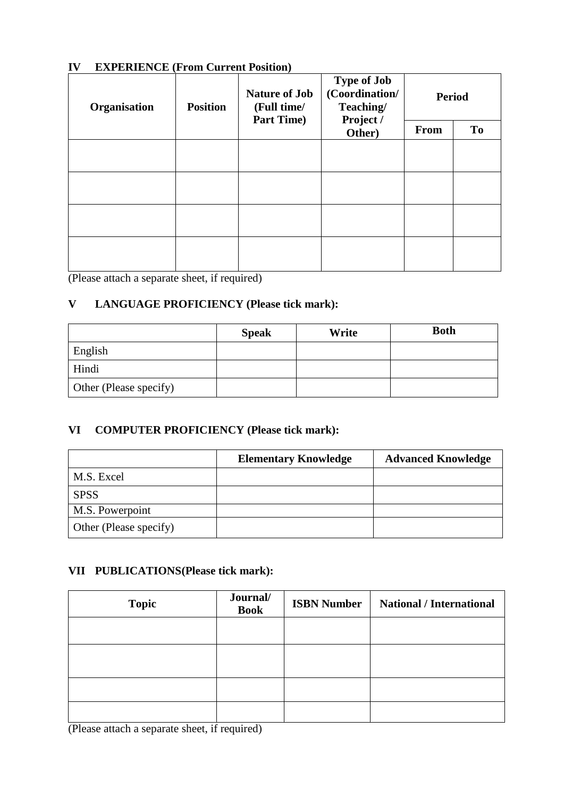### **IV EXPERIENCE (From Current Position)**

| Organisation | <b>Nature of Job</b><br><b>Position</b><br>(Full time/<br><b>Part Time)</b> |  | <b>Type of Job</b><br>(Coordination/<br>Teaching/<br>Project / | <b>Period</b> |    |
|--------------|-----------------------------------------------------------------------------|--|----------------------------------------------------------------|---------------|----|
|              |                                                                             |  | Other)                                                         | <b>From</b>   | To |
|              |                                                                             |  |                                                                |               |    |
|              |                                                                             |  |                                                                |               |    |
|              |                                                                             |  |                                                                |               |    |
|              |                                                                             |  |                                                                |               |    |

(Please attach a separate sheet, if required)

## **V LANGUAGE PROFICIENCY (Please tick mark):**

|                        | <b>Speak</b> | Write | <b>Both</b> |
|------------------------|--------------|-------|-------------|
| English                |              |       |             |
| Hindi                  |              |       |             |
| Other (Please specify) |              |       |             |

### **VI COMPUTER PROFICIENCY (Please tick mark):**

|                        | <b>Elementary Knowledge</b> | <b>Advanced Knowledge</b> |
|------------------------|-----------------------------|---------------------------|
| M.S. Excel             |                             |                           |
| <b>SPSS</b>            |                             |                           |
| M.S. Powerpoint        |                             |                           |
| Other (Please specify) |                             |                           |

## **VII PUBLICATIONS(Please tick mark):**

| <b>Topic</b> | Journal/<br><b>Book</b> | <b>ISBN Number</b> | <b>National / International</b> |
|--------------|-------------------------|--------------------|---------------------------------|
|              |                         |                    |                                 |
|              |                         |                    |                                 |
|              |                         |                    |                                 |
|              |                         |                    |                                 |

(Please attach a separate sheet, if required)